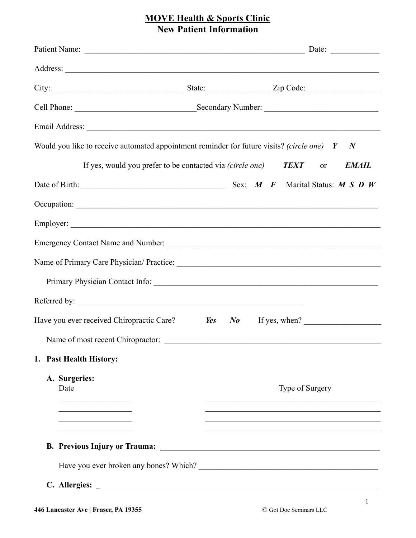### **MOVE Health & Sports Clinic New Patient Information**

|                                                                                              | Patient Name: Date: Date:                                                                                                                      |  |  |  |
|----------------------------------------------------------------------------------------------|------------------------------------------------------------------------------------------------------------------------------------------------|--|--|--|
|                                                                                              |                                                                                                                                                |  |  |  |
|                                                                                              |                                                                                                                                                |  |  |  |
|                                                                                              |                                                                                                                                                |  |  |  |
|                                                                                              |                                                                                                                                                |  |  |  |
| Would you like to receive automated appointment reminder for future visits? (circle one) $Y$ | $\boldsymbol{N}$                                                                                                                               |  |  |  |
| If yes, would you prefer to be contacted via (circle one)                                    | $TEXT$ or<br><b>EMAIL</b>                                                                                                                      |  |  |  |
|                                                                                              | Date of Birth: $\begin{array}{ccccccccc}\n\text{Date of Birth:} & & \text{Sex:} & M & F & \text{Marital Status:} & M & S & D & W\n\end{array}$ |  |  |  |
|                                                                                              |                                                                                                                                                |  |  |  |
|                                                                                              |                                                                                                                                                |  |  |  |
|                                                                                              |                                                                                                                                                |  |  |  |
|                                                                                              |                                                                                                                                                |  |  |  |
|                                                                                              |                                                                                                                                                |  |  |  |
|                                                                                              |                                                                                                                                                |  |  |  |
| Have you ever received Chiropractic Care?                                                    | If yes, when?<br>Yes No                                                                                                                        |  |  |  |
| Name of most recent Chiropractor:                                                            |                                                                                                                                                |  |  |  |
| 1. Past Health History:                                                                      |                                                                                                                                                |  |  |  |
| A. Surgeries:<br>Date                                                                        | Type of Surgery                                                                                                                                |  |  |  |
|                                                                                              |                                                                                                                                                |  |  |  |
|                                                                                              |                                                                                                                                                |  |  |  |
|                                                                                              |                                                                                                                                                |  |  |  |
|                                                                                              |                                                                                                                                                |  |  |  |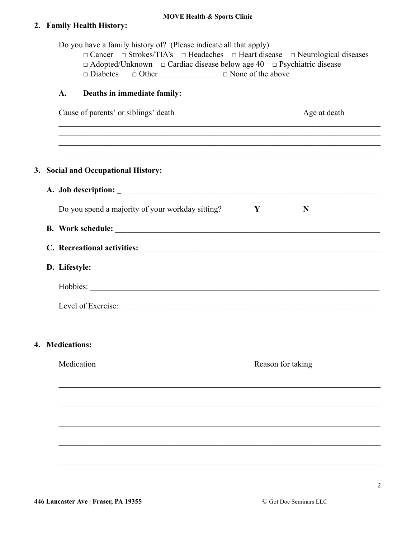# **MOVE Health & Sports Clinic**

# **2. Family Health History:**

|    |                     | Do you have a family history of? (Please indicate all that apply)<br>$\Box$ Cancer $\Box$ Strokes/TIA's $\Box$ Headaches $\Box$ Heart disease $\Box$ Neurological diseases<br>$\Box$ Adopted/Unknown $\Box$ Cardiac disease below age 40 $\Box$ Psychiatric disease<br>$\Box$ Diabetes $\Box$ Other $\Box$ $\Box$ None of the above |   |                   |  |  |
|----|---------------------|-------------------------------------------------------------------------------------------------------------------------------------------------------------------------------------------------------------------------------------------------------------------------------------------------------------------------------------|---|-------------------|--|--|
|    | A.                  | Deaths in immediate family:                                                                                                                                                                                                                                                                                                         |   |                   |  |  |
|    |                     | Cause of parents' or siblings' death<br>,我们也不能在这里的时候,我们也不能在这里的时候,我们也不能会在这里,我们也不能会在这里的时候,我们也不能会在这里的时候,我们也不能会在这里的时候,我们也不能会                                                                                                                                                                                                            |   | Age at death      |  |  |
|    |                     | ,我们也不能在这里的时候,我们也不能在这里的时候,我们也不能会在这里的时候,我们也不能会在这里的时候,我们也不能会在这里的时候,我们也不能会在这里的时候,我们也不<br>3. Social and Occupational History:                                                                                                                                                                                                            |   |                   |  |  |
|    |                     |                                                                                                                                                                                                                                                                                                                                     |   |                   |  |  |
|    |                     | Do you spend a majority of your workday sitting?                                                                                                                                                                                                                                                                                    | Y | N                 |  |  |
|    |                     |                                                                                                                                                                                                                                                                                                                                     |   |                   |  |  |
|    |                     |                                                                                                                                                                                                                                                                                                                                     |   |                   |  |  |
|    | D. Lifestyle:       |                                                                                                                                                                                                                                                                                                                                     |   |                   |  |  |
|    |                     |                                                                                                                                                                                                                                                                                                                                     |   |                   |  |  |
|    |                     |                                                                                                                                                                                                                                                                                                                                     |   |                   |  |  |
| 4. | <b>Medications:</b> |                                                                                                                                                                                                                                                                                                                                     |   |                   |  |  |
|    |                     | Medication                                                                                                                                                                                                                                                                                                                          |   | Reason for taking |  |  |
|    |                     |                                                                                                                                                                                                                                                                                                                                     |   |                   |  |  |
|    |                     |                                                                                                                                                                                                                                                                                                                                     |   |                   |  |  |
|    |                     |                                                                                                                                                                                                                                                                                                                                     |   |                   |  |  |
|    |                     |                                                                                                                                                                                                                                                                                                                                     |   |                   |  |  |
|    |                     |                                                                                                                                                                                                                                                                                                                                     |   |                   |  |  |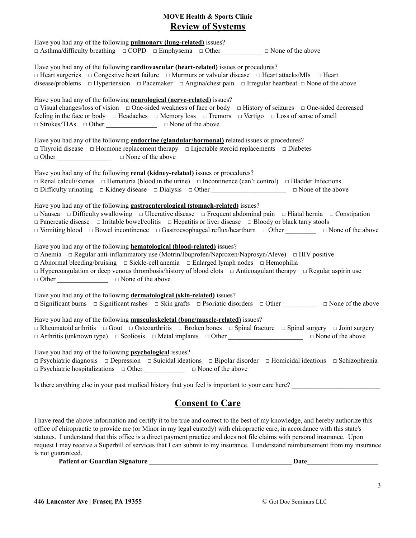### **MOVE Health & Sports Clinic Review of Systems**

| Have you had any of the following <b>pulmonary</b> (lung-related) issues?<br>□ Asthma/difficulty breathing □ COPD □ Emphysema □ Other △ □ None of the above                                                                                                                                                                                                                                                                                                                                                       |
|-------------------------------------------------------------------------------------------------------------------------------------------------------------------------------------------------------------------------------------------------------------------------------------------------------------------------------------------------------------------------------------------------------------------------------------------------------------------------------------------------------------------|
| Have you had any of the following <b>cardiovascular (heart-related)</b> issues or procedures?<br>□ Heart surgeries □ Congestive heart failure □ Murmurs or valvular disease □ Heart attacks/MIs □ Heart<br>disease/problems $\Box$ Hypertension $\Box$ Pacemaker $\Box$ Angina/chest pain $\Box$ Irregular heartbeat $\Box$ None of the above                                                                                                                                                                     |
| Have you had any of the following <b>neurological</b> (nerve-related) issues?<br>□ Visual changes/loss of vision □ One-sided weakness of face or body □ History of seizures □ One-sided decreased<br>feeling in the face or body $\Box$ Headaches $\Box$ Memory loss $\Box$ Tremors $\Box$ Vertigo $\Box$ Loss of sense of smell                                                                                                                                                                                  |
| Have you had any of the following <i>endocrine (glandular/hormonal)</i> related issues or procedures?<br>$\Box$ Thyroid disease $\Box$ Hormone replacement therapy $\Box$ Injectable steroid replacements $\Box$ Diabetes<br>$\Box$ Other $\Box$ $\Box$ None of the above                                                                                                                                                                                                                                         |
| Have you had any of the following renal (kidney-related) issues or procedures?<br>$\Box$ Renal calculi/stones $\Box$ Hematuria (blood in the urine) $\Box$ Incontinence (can't control) $\Box$ Bladder Infections                                                                                                                                                                                                                                                                                                 |
| Have you had any of the following <b>gastroenterological</b> (stomach-related) issues?<br>$\Box$ Nausea $\Box$ Difficulty swallowing $\Box$ Ulcerative disease $\Box$ Frequent abdominal pain $\Box$ Hiatal hernia $\Box$ Constipation<br>$\Box$ Pancreatic disease $\Box$ Irritable bowel/colitis $\Box$ Hepatitis or liver disease $\Box$ Bloody or black tarry stools<br>$\Box$ Vomiting blood $\Box$ Bowel incontinence $\Box$ Gastroesophageal reflux/heartburn $\Box$ Other $\Box$ $\Box$ None of the above |
| Have you had any of the following <b>hematological (blood-related)</b> issues?<br>$\Box$ Anemia $\Box$ Regular anti-inflammatory use (Motrin/Ibuprofen/Naproxen/Naprosyn/Aleve) $\Box$ HIV positive<br>□ Abnormal bleeding/bruising □ Sickle-cell anemia □ Enlarged lymph nodes □ Hemophilia<br>$\Box$ Hypercoagulation or deep venous thrombosis/history of blood clots $\Box$ Anticoagulant therapy $\Box$ Regular aspirin use<br>$\Box$ Other $\Box$ $\Box$ None of the above                                  |
| Have you had any of the following dermatological (skin-related) issues?<br>$\Box$ Significant burns $\Box$ Significant rashes $\Box$ Skin grafts $\Box$ Psoriatic disorders $\Box$ Other $\Box$ $\Box$ None of the above                                                                                                                                                                                                                                                                                          |
| Have you had any of the following <b>musculoskeletal</b> (bone/muscle-related) issues?<br>$\Box$ Rheumatoid arthritis $\Box$ Gout $\Box$ Osteoarthritis $\Box$ Broken bones $\Box$ Spinal fracture $\Box$ Spinal surgery $\Box$ Joint surgery                                                                                                                                                                                                                                                                     |
| Have you had any of the following <b>psychological</b> issues?<br>$\Box$ Psychiatric diagnosis $\Box$ Depression $\Box$ Suicidal ideations $\Box$ Bipolar disorder $\Box$ Homicidal ideations $\Box$ Schizophrenia<br>$\Box$ Psychiatric hospitalizations $\Box$ Other<br>$\square$ None of the above                                                                                                                                                                                                             |
| Is there anything else in your past medical history that you feel is important to your care here?                                                                                                                                                                                                                                                                                                                                                                                                                 |

# **Consent to Care**

I have read the above information and certify it to be true and correct to the best of my knowledge, and hereby authorize this office of chiropractic to provide me (or Minor in my legal custody) with chiropractic care, in accordance with this state's statutes. I understand that this office is a direct payment practice and does not file claims with personal insurance. Upon request I may receive a Superbill of services that I can submit to my insurance. I understand reimbursement from my insurance is not guaranteed.

**Patient or Guardian Signature** \_\_\_\_\_\_\_\_\_\_\_\_\_\_\_\_\_\_\_\_\_\_\_\_\_\_\_\_\_\_\_\_\_\_\_\_\_\_\_\_\_\_ **Date**\_\_\_\_\_\_\_\_\_\_\_\_\_\_\_\_\_\_\_\_\_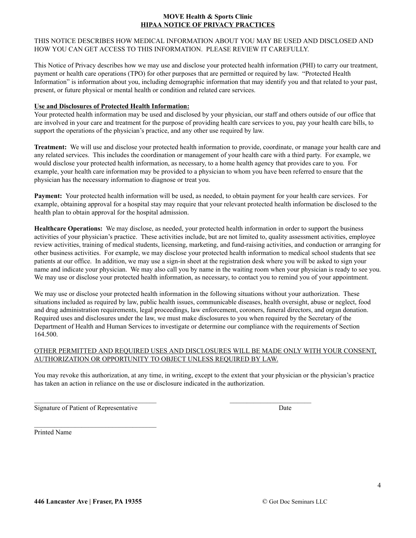#### **MOVE Health & Sports Clinic HIPAA NOTICE OF PRIVACY PRACTICES**

#### THIS NOTICE DESCRIBES HOW MEDICAL INFORMATION ABOUT YOU MAY BE USED AND DISCLOSED AND HOW YOU CAN GET ACCESS TO THIS INFORMATION. PLEASE REVIEW IT CAREFULLY.

This Notice of Privacy describes how we may use and disclose your protected health information (PHI) to carry our treatment, payment or health care operations (TPO) for other purposes that are permitted or required by law. "Protected Health Information" is information about you, including demographic information that may identify you and that related to your past, present, or future physical or mental health or condition and related care services.

#### **Use and Disclosures of Protected Health Information:**

Your protected health information may be used and disclosed by your physician, our staff and others outside of our office that are involved in your care and treatment for the purpose of providing health care services to you, pay your health care bills, to support the operations of the physician's practice, and any other use required by law.

**Treatment:** We will use and disclose your protected health information to provide, coordinate, or manage your health care and any related services. This includes the coordination or management of your health care with a third party. For example, we would disclose your protected health information, as necessary, to a home health agency that provides care to you. For example, your health care information may be provided to a physician to whom you have been referred to ensure that the physician has the necessary information to diagnose or treat you.

**Payment:** Your protected health information will be used, as needed, to obtain payment for your health care services. For example, obtaining approval for a hospital stay may require that your relevant protected health information be disclosed to the health plan to obtain approval for the hospital admission.

**Healthcare Operations:** We may disclose, as needed, your protected health information in order to support the business activities of your physician's practice. These activities include, but are not limited to, quality assessment activities, employee review activities, training of medical students, licensing, marketing, and fund-raising activities, and conduction or arranging for other business activities. For example, we may disclose your protected health information to medical school students that see patients at our office. In addition, we may use a sign-in sheet at the registration desk where you will be asked to sign your name and indicate your physician. We may also call you by name in the waiting room when your physician is ready to see you. We may use or disclose your protected health information, as necessary, to contact you to remind you of your appointment.

We may use or disclose your protected health information in the following situations without your authorization. These situations included as required by law, public health issues, communicable diseases, health oversight, abuse or neglect, food and drug administration requirements, legal proceedings, law enforcement, coroners, funeral directors, and organ donation. Required uses and disclosures under the law, we must make disclosures to you when required by the Secretary of the Department of Health and Human Services to investigate or determine our compliance with the requirements of Section 164.500.

#### OTHER PERMITTED AND REQUIRED USES AND DISCLOSURES WILL BE MADE ONLY WITH YOUR CONSENT, AUTHORIZATION OR OPPORTUNITY TO OBJECT UNLESS REQUIRED BY LAW.

You may revoke this authorization, at any time, in writing, except to the extent that your physician or the physician's practice has taken an action in reliance on the use or disclosure indicated in the authorization.

 $\mathcal{L}_\text{max}$  , and the contribution of the contribution of the contribution of the contribution of the contribution of the contribution of the contribution of the contribution of the contribution of the contribution of t

Signature of Patient of Representative Date Date Date

\_\_\_\_\_\_\_\_\_\_\_\_\_\_\_\_\_\_\_\_\_\_\_\_\_\_\_\_\_\_\_\_\_\_\_\_

Printed Name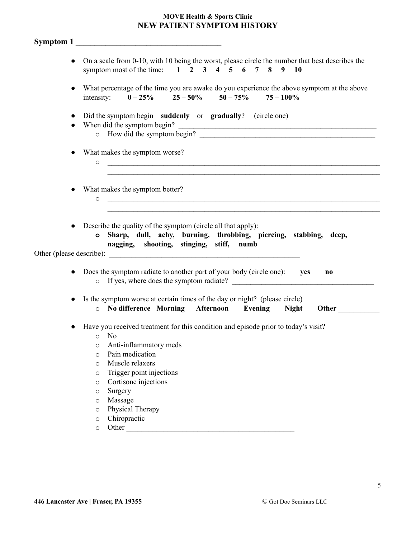### **MOVE Health & Sports Clinic NEW PATIENT SYMPTOM HISTORY**

Symptom 1 • On a scale from 0-10, with 10 being the worst, please circle the number that best describes the symptom most of the time: **1 2 3 4 5 6 7 8 9 10** ● What percentage of the time you are awake do you experience the above symptom at the above intensity:  $0-25\%$   $25-50\%$   $50-75\%$   $75-100\%$ ● Did the symptom begin **suddenly** or **gradually**? (circle one) • When did the symptom begin?  $\circ$  How did the symptom begin? What makes the symptom worse?  $\circ$  $\mathcal{L}_\text{max} = \frac{1}{2} \sum_{i=1}^n \mathcal{L}_\text{max} = \frac{1}{2} \sum_{i=1}^n \mathcal{L}_\text{max} = \frac{1}{2} \sum_{i=1}^n \mathcal{L}_\text{max} = \frac{1}{2} \sum_{i=1}^n \mathcal{L}_\text{max} = \frac{1}{2} \sum_{i=1}^n \mathcal{L}_\text{max} = \frac{1}{2} \sum_{i=1}^n \mathcal{L}_\text{max} = \frac{1}{2} \sum_{i=1}^n \mathcal{L}_\text{max} = \frac{1}{2} \sum_{i=$ What makes the symptom better? o \_\_\_\_\_\_\_\_\_\_\_\_\_\_\_\_\_\_\_\_\_\_\_\_\_\_\_\_\_\_\_\_\_\_\_\_\_\_\_\_\_\_\_\_\_\_\_\_\_\_\_\_\_\_\_\_\_\_\_\_\_\_\_\_\_\_\_\_\_\_\_\_\_  $\mathcal{L}_\text{max} = \frac{1}{2} \sum_{i=1}^n \mathcal{L}_\text{max} = \frac{1}{2} \sum_{i=1}^n \mathcal{L}_\text{max} = \frac{1}{2} \sum_{i=1}^n \mathcal{L}_\text{max} = \frac{1}{2} \sum_{i=1}^n \mathcal{L}_\text{max} = \frac{1}{2} \sum_{i=1}^n \mathcal{L}_\text{max} = \frac{1}{2} \sum_{i=1}^n \mathcal{L}_\text{max} = \frac{1}{2} \sum_{i=1}^n \mathcal{L}_\text{max} = \frac{1}{2} \sum_{i=$ • Describe the quality of the symptom (circle all that apply): **o Sharp, dull, achy, burning, throbbing, piercing, stabbing, deep, nagging, shooting, stinging, stiff, numb** Other (please describe): **●** Does the symptom radiate to another part of your body (circle one): **yes no**  $\circ$  If yes, where does the symptom radiate? • Is the symptom worse at certain times of the day or night? (please circle) o **No difference Morning Afternoon Evening Night Other** \_\_\_\_\_\_\_\_\_\_\_ ● Have you received treatment for this condition and episode prior to today's visit? o No o Anti-inflammatory meds o Pain medication o Muscle relaxers o Trigger point injections o Cortisone injections o Surgery o Massage o Physical Therapy o Chiropractic

o Other \_\_\_\_\_\_\_\_\_\_\_\_\_\_\_\_\_\_\_\_\_\_\_\_\_\_\_\_\_\_\_\_\_\_\_\_\_\_\_\_\_\_\_\_\_